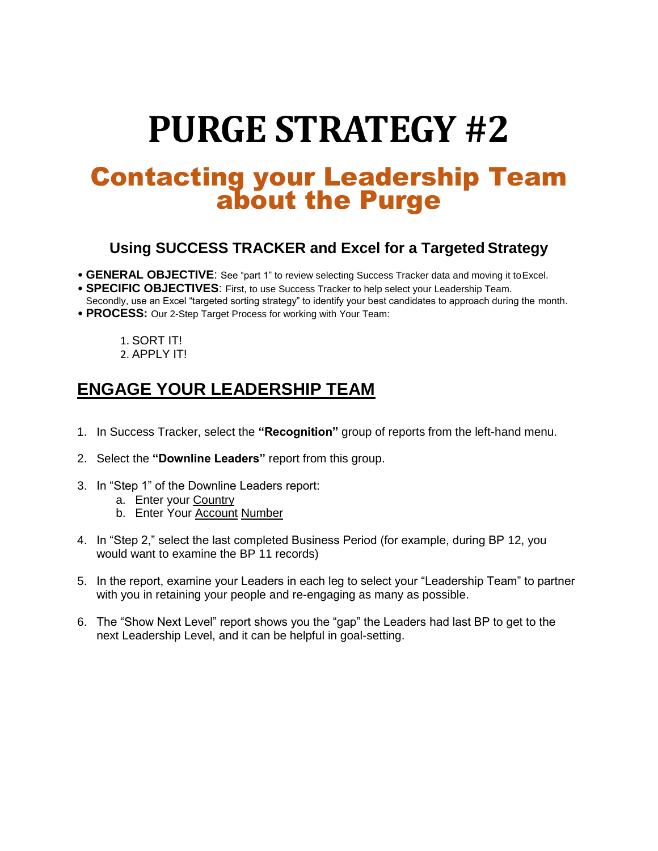# **PURGE STRATEGY #2**

## Contacting your Leadership Team about the Purge

#### **Using SUCCESS TRACKER and Excel for a Targeted Strategy**

- **GENERAL OBJECTIVE**: See "part 1" to review selecting Success Tracker data and moving it toExcel.
- **SPECIFIC OBJECTIVES**: First, to use Success Tracker to help select your Leadership Team.
- Secondly, use an Excel "targeted sorting strategy" to identify your best candidates to approach during the month.
- **PROCESS:** Our 2-Step Target Process for working with Your Team:

1. SORT IT! 2. APPLY IT!

## **ENGAGE YOUR LEADERSHIP TEAM**

- 1. In Success Tracker, select the **"Recognition"** group of reports from the left-hand menu.
- 2. Select the **"Downline Leaders"** report from this group.
- 3. In "Step 1" of the Downline Leaders report:
	- a. Enter your Country
	- b. Enter Your Account Number
- 4. In "Step 2," select the last completed Business Period (for example, during BP 12, you would want to examine the BP 11 records)
- 5. In the report, examine your Leaders in each leg to select your "Leadership Team" to partner with you in retaining your people and re-engaging as many as possible.
- 6. The "Show Next Level" report shows you the "gap" the Leaders had last BP to get to the next Leadership Level, and it can be helpful in goal-setting.